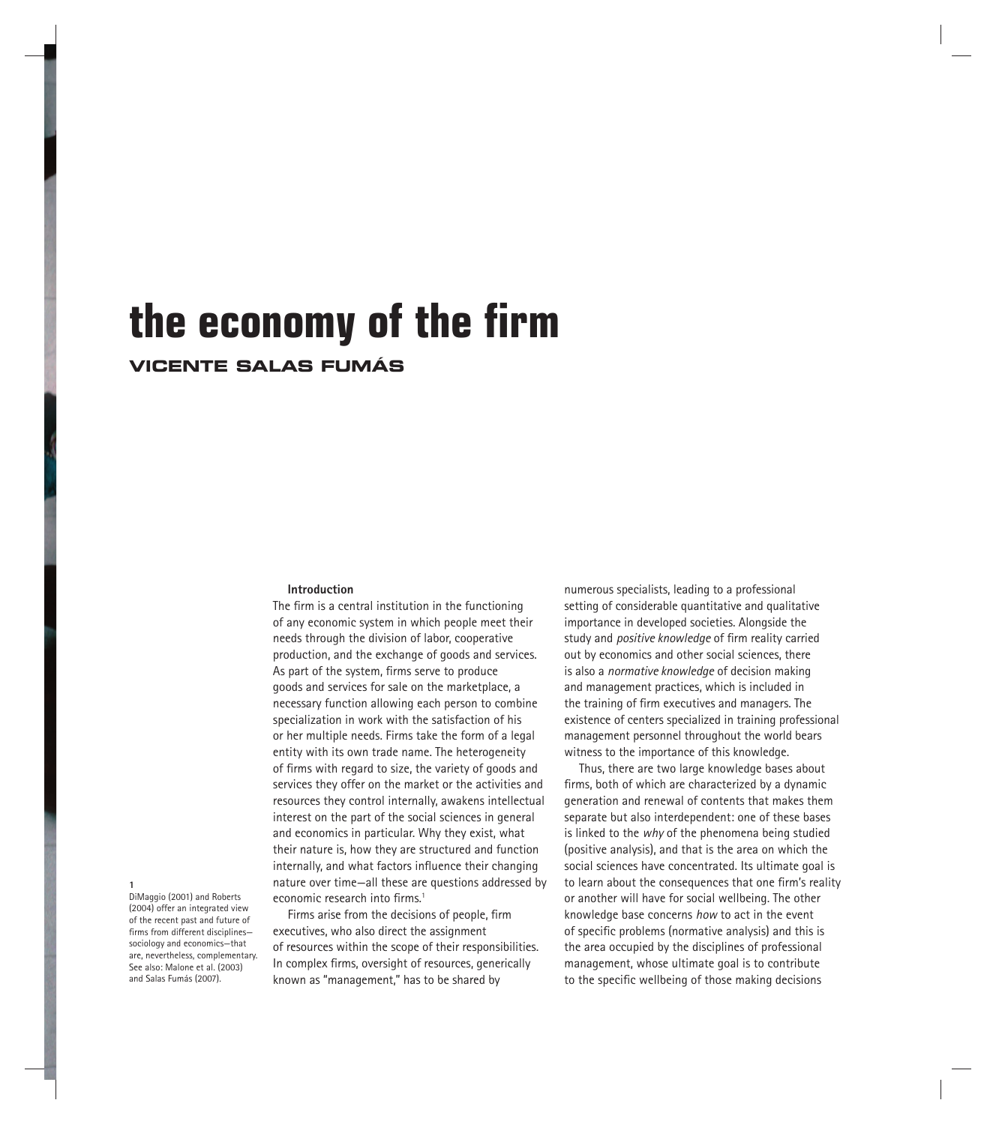# the economy of the firm

## **VICENTE SALAS FUMÁS**

#### **Introduction**

The firm is a central institution in the functioning of any economic system in which people meet their needs through the division of labor, cooperative production, and the exchange of goods and services. As part of the system, firms serve to produce goods and services for sale on the marketplace, a necessary function allowing each person to combine specialization in work with the satisfaction of his or her multiple needs. Firms take the form of a legal entity with its own trade name. The heterogeneity of firms with regard to size, the variety of goods and services they offer on the market or the activities and resources they control internally, awakens intellectual interest on the part of the social sciences in general and economics in particular. Why they exist, what their nature is, how they are structured and function internally, and what factors influence their changing nature over time—all these are questions addressed by economic research into firms.<sup>1</sup>

Firms arise from the decisions of people, firm executives, who also direct the assignment of resources within the scope of their responsibilities. In complex firms, oversight of resources, generically known as "management," has to be shared by

numerous specialists, leading to a professional setting of considerable quantitative and qualitative importance in developed societies. Alongside the study and *positive knowledge* of firm reality carried out by economics and other social sciences, there is also a *normative knowledge* of decision making and management practices, which is included in the training of firm executives and managers. The existence of centers specialized in training professional management personnel throughout the world bears witness to the importance of this knowledge.

Thus, there are two large knowledge bases about firms, both of which are characterized by a dynamic generation and renewal of contents that makes them separate but also interdependent: one of these bases is linked to the *why* of the phenomena being studied (positive analysis), and that is the area on which the social sciences have concentrated. Its ultimate goal is to learn about the consequences that one firm's reality or another will have for social wellbeing. The other knowledge base concerns *how* to act in the event of specific problems (normative analysis) and this is the area occupied by the disciplines of professional management, whose ultimate goal is to contribute to the specific wellbeing of those making decisions

**1** DiMaggio (2001) and Roberts

(2004) offer an integrated view of the recent past and future of firms from different disciplinessociology and economics—that are, nevertheless, complementary. See also: Malone et al. (2003) and Salas Fumás (2007).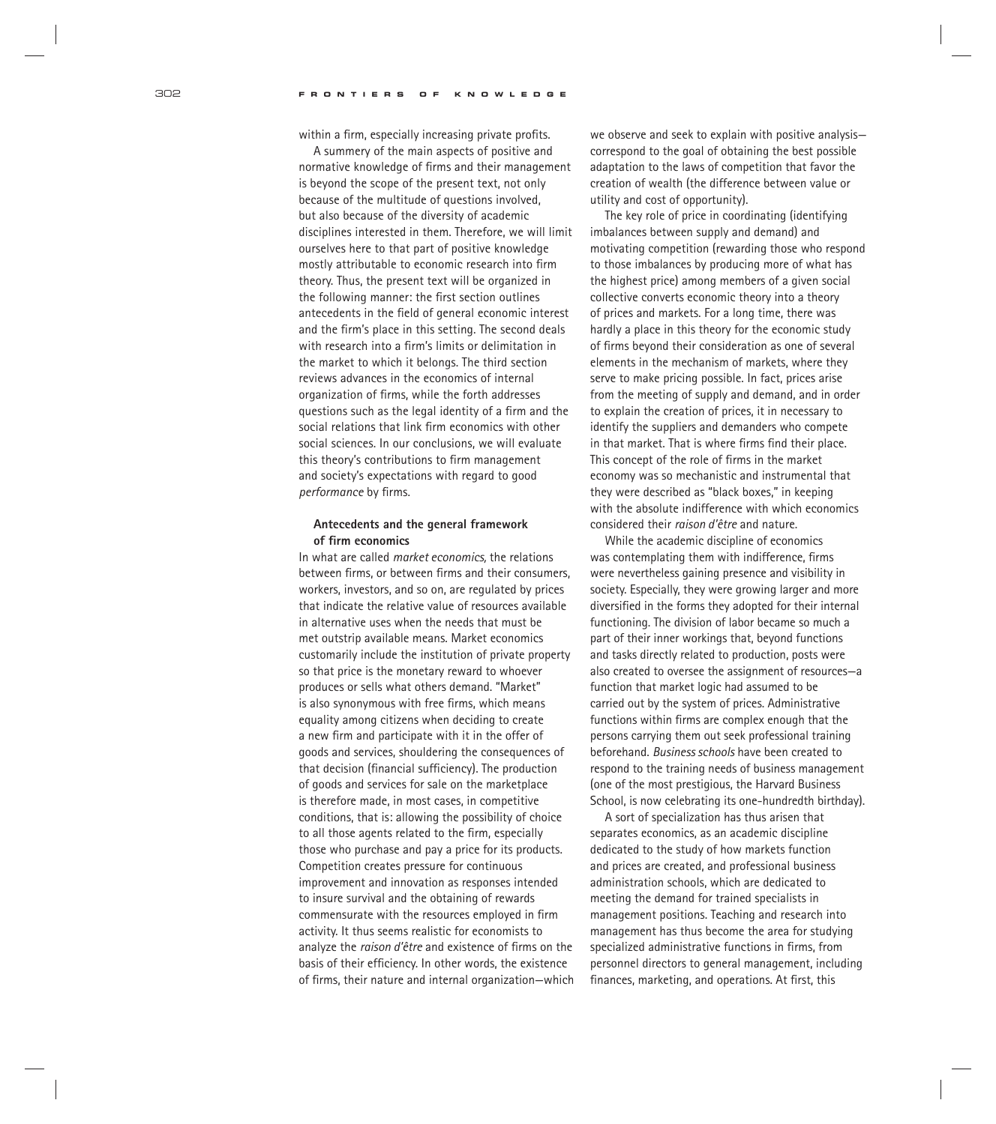within a firm, especially increasing private profits.

A summery of the main aspects of positive and normative knowledge of firms and their management is beyond the scope of the present text, not only because of the multitude of questions involved, but also because of the diversity of academic disciplines interested in them. Therefore, we will limit ourselves here to that part of positive knowledge mostly attributable to economic research into firm theory. Thus, the present text will be organized in the following manner: the first section outlines antecedents in the field of general economic interest and the firm's place in this setting. The second deals with research into a firm's limits or delimitation in the market to which it belongs. The third section reviews advances in the economics of internal organization of firms, while the forth addresses questions such as the legal identity of a firm and the social relations that link firm economics with other social sciences. In our conclusions, we will evaluate this theory's contributions to firm management and society's expectations with regard to good *performance* by firms.

## **Antecedents and the general framework**  of firm economics

In what are called *market economics,* the relations between firms, or between firms and their consumers. workers, investors, and so on, are regulated by prices that indicate the relative value of resources available in alternative uses when the needs that must be met outstrip available means. Market economics customarily include the institution of private property so that price is the monetary reward to whoever produces or sells what others demand. "Market" is also synonymous with free firms, which means equality among citizens when deciding to create a new firm and participate with it in the offer of goods and services, shouldering the consequences of that decision (financial sufficiency). The production of goods and services for sale on the marketplace is therefore made, in most cases, in competitive conditions, that is: allowing the possibility of choice to all those agents related to the firm, especially those who purchase and pay a price for its products. Competition creates pressure for continuous improvement and innovation as responses intended to insure survival and the obtaining of rewards commensurate with the resources employed in firm activity. It thus seems realistic for economists to analyze the *raison d'être* and existence of firms on the basis of their efficiency. In other words, the existence of firms, their nature and internal organization-which we observe and seek to explain with positive analysis correspond to the goal of obtaining the best possible adaptation to the laws of competition that favor the creation of wealth (the difference between value or utility and cost of opportunity).

The key role of price in coordinating (identifying imbalances between supply and demand) and motivating competition (rewarding those who respond to those imbalances by producing more of what has the highest price) among members of a given social collective converts economic theory into a theory of prices and markets. For a long time, there was hardly a place in this theory for the economic study of firms beyond their consideration as one of several elements in the mechanism of markets, where they serve to make pricing possible. In fact, prices arise from the meeting of supply and demand, and in order to explain the creation of prices, it in necessary to identify the suppliers and demanders who compete in that market. That is where firms find their place. This concept of the role of firms in the market economy was so mechanistic and instrumental that they were described as "black boxes," in keeping with the absolute indifference with which economics considered their *raison d'être* and nature.

While the academic discipline of economics was contemplating them with indifference, firms were nevertheless gaining presence and visibility in society. Especially, they were growing larger and more diversified in the forms they adopted for their internal functioning. The division of labor became so much a part of their inner workings that, beyond functions and tasks directly related to production, posts were also created to oversee the assignment of resources—a function that market logic had assumed to be carried out by the system of prices. Administrative functions within firms are complex enough that the persons carrying them out seek professional training beforehand. *Business schools* have been created to respond to the training needs of business management (one of the most prestigious, the Harvard Business School, is now celebrating its one-hundredth birthday).

A sort of specialization has thus arisen that separates economics, as an academic discipline dedicated to the study of how markets function and prices are created, and professional business administration schools, which are dedicated to meeting the demand for trained specialists in management positions. Teaching and research into management has thus become the area for studying specialized administrative functions in firms, from personnel directors to general management, including finances, marketing, and operations. At first, this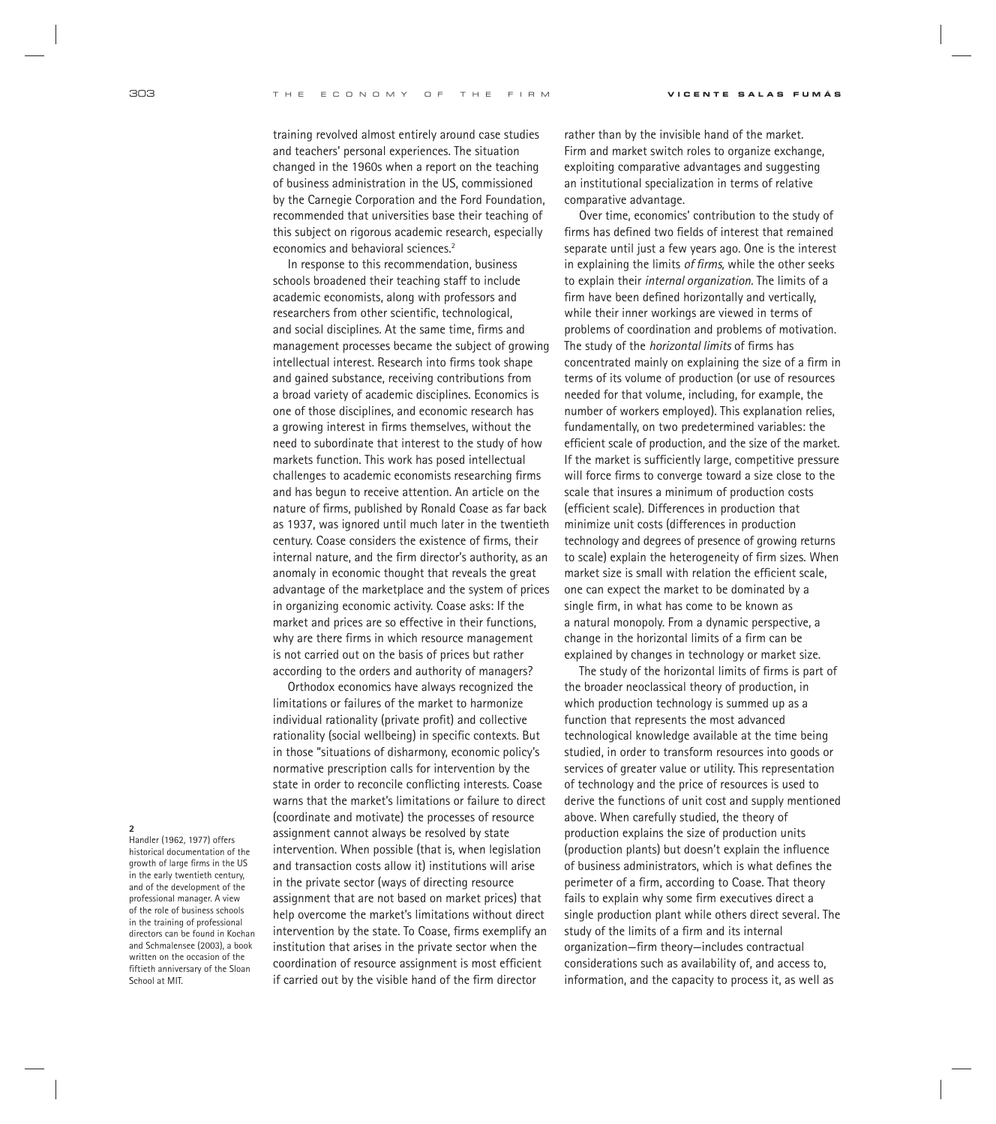training revolved almost entirely around case studies and teachers' personal experiences. The situation changed in the 1960s when a report on the teaching of business administration in the US, commissioned by the Carnegie Corporation and the Ford Foundation, recommended that universities base their teaching of this subject on rigorous academic research, especially economics and behavioral sciences.<sup>2</sup>

In response to this recommendation, business schools broadened their teaching staff to include academic economists, along with professors and researchers from other scientific, technological, and social disciplines. At the same time, firms and management processes became the subject of growing intellectual interest. Research into firms took shape and gained substance, receiving contributions from a broad variety of academic disciplines. Economics is one of those disciplines, and economic research has a growing interest in firms themselves, without the need to subordinate that interest to the study of how markets function. This work has posed intellectual challenges to academic economists researching firms and has begun to receive attention. An article on the nature of firms, published by Ronald Coase as far back as 1937, was ignored until much later in the twentieth century. Coase considers the existence of firms, their internal nature, and the firm director's authority, as an anomaly in economic thought that reveals the great advantage of the marketplace and the system of prices in organizing economic activity. Coase asks: If the market and prices are so effective in their functions, why are there firms in which resource management is not carried out on the basis of prices but rather according to the orders and authority of managers?

Orthodox economics have always recognized the limitations or failures of the market to harmonize individual rationality (private profit) and collective rationality (social wellbeing) in specific contexts. But in those "situations of disharmony, economic policy's normative prescription calls for intervention by the state in order to reconcile conflicting interests. Coase warns that the market's limitations or failure to direct (coordinate and motivate) the processes of resource assignment cannot always be resolved by state intervention. When possible (that is, when legislation and transaction costs allow it) institutions will arise in the private sector (ways of directing resource assignment that are not based on market prices) that help overcome the market's limitations without direct intervention by the state. To Coase, firms exemplify an institution that arises in the private sector when the coordination of resource assignment is most efficient if carried out by the visible hand of the firm director

rather than by the invisible hand of the market. Firm and market switch roles to organize exchange, exploiting comparative advantages and suggesting an institutional specialization in terms of relative comparative advantage.

Over time, economics' contribution to the study of firms has defined two fields of interest that remained separate until just a few years ago. One is the interest in explaining the limits of firms, while the other seeks to explain their *internal organization.* The limits of a firm have been defined horizontally and vertically, while their inner workings are viewed in terms of problems of coordination and problems of motivation. The study of the *horizontal limits* of firms has concentrated mainly on explaining the size of a firm in terms of its volume of production (or use of resources needed for that volume, including, for example, the number of workers employed). This explanation relies, fundamentally, on two predetermined variables: the efficient scale of production, and the size of the market. If the market is sufficiently large, competitive pressure will force firms to converge toward a size close to the scale that insures a minimum of production costs (efficient scale). Differences in production that minimize unit costs (differences in production technology and degrees of presence of growing returns to scale) explain the heterogeneity of firm sizes. When market size is small with relation the efficient scale, one can expect the market to be dominated by a single firm, in what has come to be known as a natural monopoly. From a dynamic perspective, a change in the horizontal limits of a firm can be explained by changes in technology or market size.

The study of the horizontal limits of firms is part of the broader neoclassical theory of production, in which production technology is summed up as a function that represents the most advanced technological knowledge available at the time being studied, in order to transform resources into goods or services of greater value or utility. This representation of technology and the price of resources is used to derive the functions of unit cost and supply mentioned above. When carefully studied, the theory of production explains the size of production units (production plants) but doesn't explain the influence of business administrators, which is what defines the perimeter of a firm, according to Coase. That theory fails to explain why some firm executives direct a single production plant while others direct several. The study of the limits of a firm and its internal organization—firm theory—includes contractual considerations such as availability of, and access to, information, and the capacity to process it, as well as

**2**

Handler (1962, 1977) offers historical documentation of the growth of large firms in the US in the early twentieth century, and of the development of the professional manager. A view of the role of business schools in the training of professional directors can be found in Kochan and Schmalensee (2003), a book written on the occasion of the fiftieth anniversary of the Sloan School at MIT.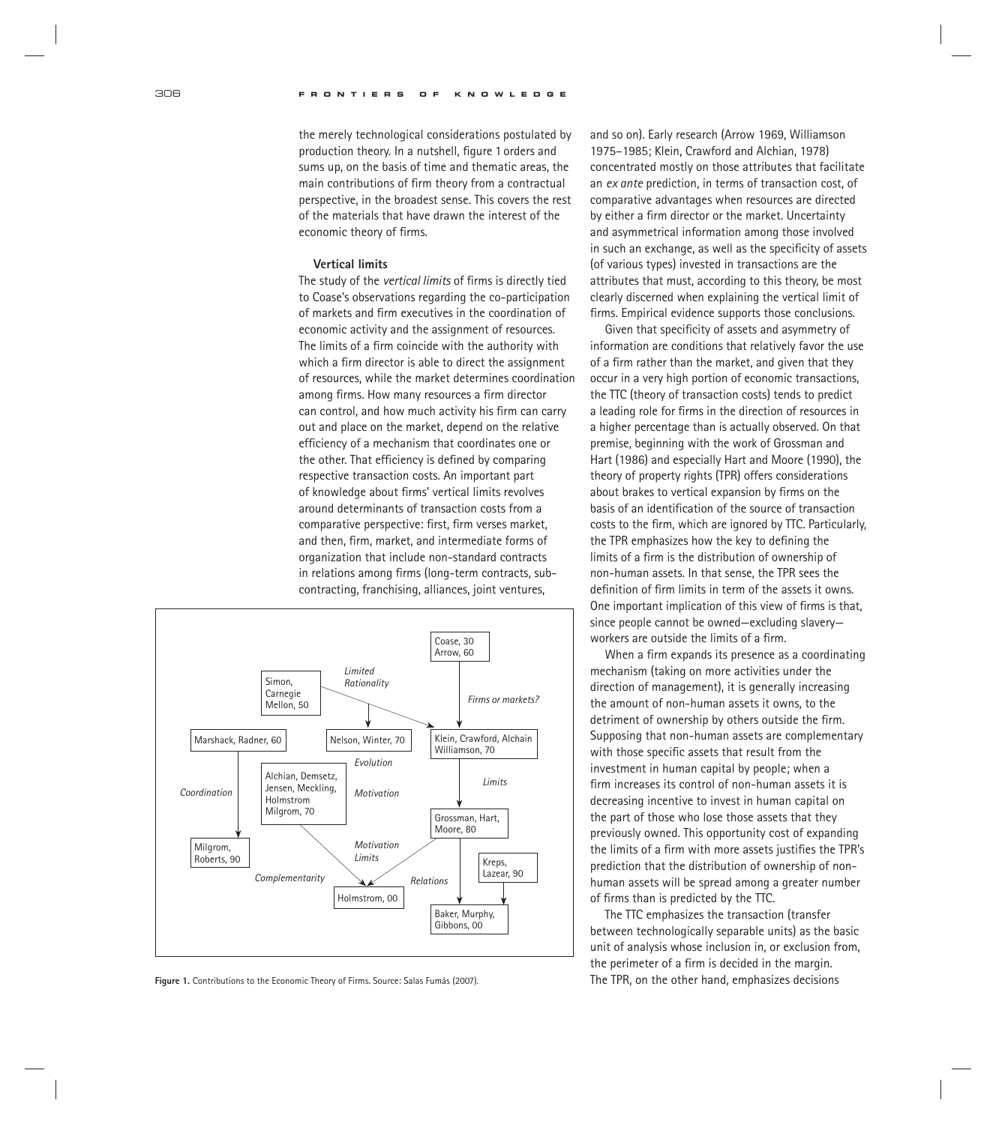the merely technological considerations postulated by production theory. In a nutshell, figure 1 orders and sums up, on the basis of time and thematic areas, the main contributions of firm theory from a contractual perspective, in the broadest sense. This covers the rest of the materials that have drawn the interest of the economic theory of firms.

## **Vertical limits**

The study of the *vertical limits* of firms is directly tied to Coase's observations regarding the co-participation of markets and firm executives in the coordination of economic activity and the assignment of resources. The limits of a firm coincide with the authority with which a firm director is able to direct the assignment of resources, while the market determines coordination among firms. How many resources a firm director can control, and how much activity his firm can carry out and place on the market, depend on the relative efficiency of a mechanism that coordinates one or the other. That efficiency is defined by comparing respective transaction costs. An important part of knowledge about firms' vertical limits revolves around determinants of transaction costs from a comparative perspective: first, firm verses market, and then, firm, market, and intermediate forms of organization that include non-standard contracts in relations among firms (long-term contracts, subcontracting, franchising, alliances, joint ventures,



Figure 1. Contributions to the Economic Theory of Firms. Source: Salas Fumás (2007). The TPR, on the other hand, emphasizes decisions

and so on). Early research (Arrow 1969, Williamson 1975–1985; Klein, Crawford and Alchian, 1978) concentrated mostly on those attributes that facilitate an *ex ante* prediction, in terms of transaction cost, of comparative advantages when resources are directed by either a firm director or the market. Uncertainty and asymmetrical information among those involved in such an exchange, as well as the specificity of assets (of various types) invested in transactions are the attributes that must, according to this theory, be most clearly discerned when explaining the vertical limit of firms. Empirical evidence supports those conclusions.

Given that specificity of assets and asymmetry of information are conditions that relatively favor the use of a firm rather than the market, and given that they occur in a very high portion of economic transactions, the TTC (theory of transaction costs) tends to predict a leading role for firms in the direction of resources in a higher percentage than is actually observed. On that premise, beginning with the work of Grossman and Hart (1986) and especially Hart and Moore (1990), the theory of property rights (TPR) offers considerations about brakes to vertical expansion by firms on the basis of an identification of the source of transaction costs to the firm, which are ignored by TTC. Particularly, the TPR emphasizes how the key to defining the limits of a firm is the distribution of ownership of non-human assets. In that sense, the TPR sees the definition of firm limits in term of the assets it owns. One important implication of this view of firms is that, since people cannot be owned—excluding slavery workers are outside the limits of a firm.

When a firm expands its presence as a coordinating mechanism (taking on more activities under the direction of management), it is generally increasing the amount of non-human assets it owns, to the detriment of ownership by others outside the firm. Supposing that non-human assets are complementary with those specific assets that result from the investment in human capital by people; when a firm increases its control of non-human assets it is decreasing incentive to invest in human capital on the part of those who lose those assets that they previously owned. This opportunity cost of expanding the limits of a firm with more assets justifies the TPR's prediction that the distribution of ownership of nonhuman assets will be spread among a greater number of firms than is predicted by the  $TTC$ .

The TTC emphasizes the transaction (transfer between technologically separable units) as the basic unit of analysis whose inclusion in, or exclusion from, the perimeter of a firm is decided in the margin.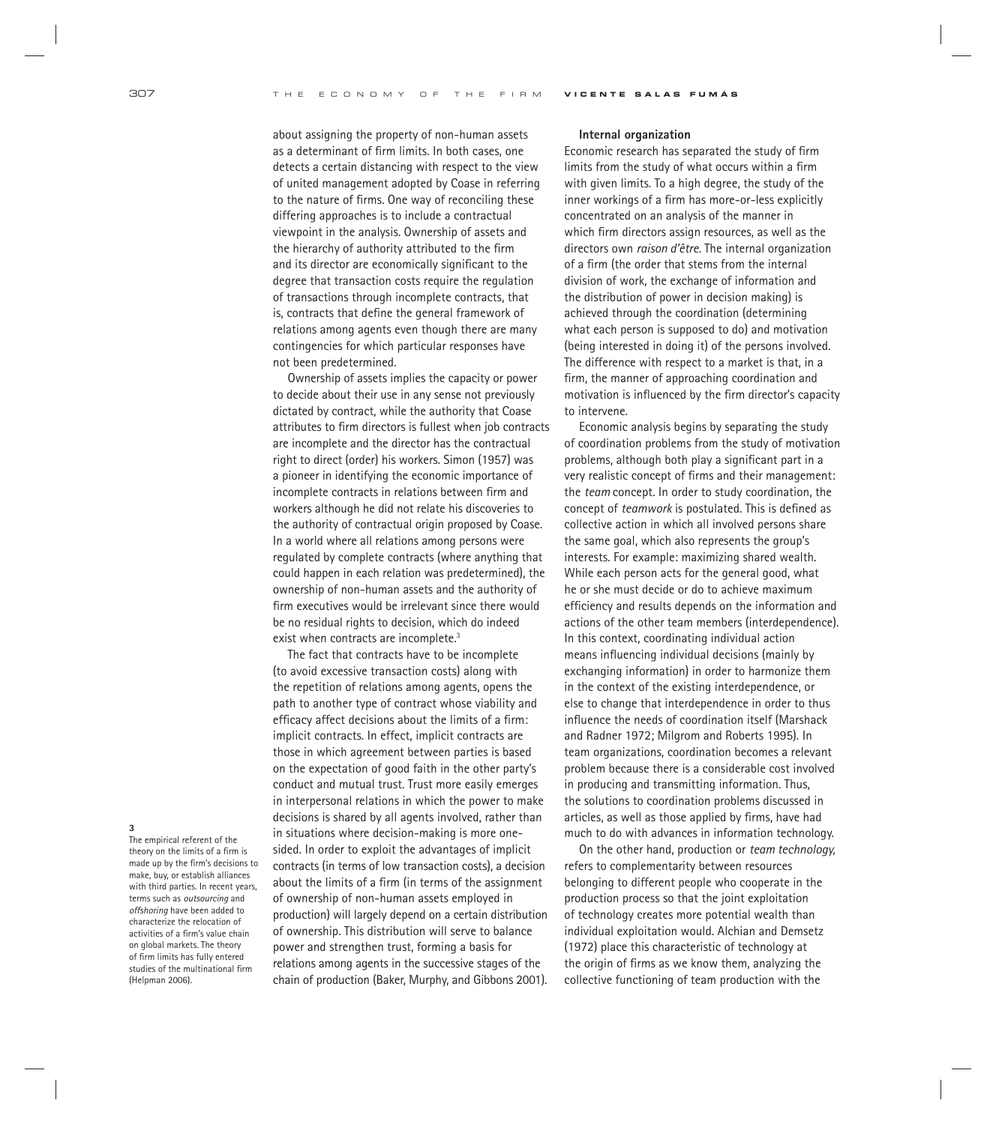about assigning the property of non-human assets as a determinant of firm limits. In both cases, one detects a certain distancing with respect to the view of united management adopted by Coase in referring to the nature of firms. One way of reconciling these differing approaches is to include a contractual viewpoint in the analysis. Ownership of assets and the hierarchy of authority attributed to the firm and its director are economically significant to the degree that transaction costs require the regulation of transactions through incomplete contracts, that is, contracts that define the general framework of relations among agents even though there are many contingencies for which particular responses have not been predetermined.

Ownership of assets implies the capacity or power to decide about their use in any sense not previously dictated by contract, while the authority that Coase attributes to firm directors is fullest when job contracts are incomplete and the director has the contractual right to direct (order) his workers. Simon (1957) was a pioneer in identifying the economic importance of incomplete contracts in relations between firm and workers although he did not relate his discoveries to the authority of contractual origin proposed by Coase. In a world where all relations among persons were regulated by complete contracts (where anything that could happen in each relation was predetermined), the ownership of non-human assets and the authority of firm executives would be irrelevant since there would be no residual rights to decision, which do indeed exist when contracts are incomplete.<sup>3</sup>

The fact that contracts have to be incomplete (to avoid excessive transaction costs) along with the repetition of relations among agents, opens the path to another type of contract whose viability and efficacy affect decisions about the limits of a firm: implicit contracts. In effect, implicit contracts are those in which agreement between parties is based on the expectation of good faith in the other party's conduct and mutual trust. Trust more easily emerges in interpersonal relations in which the power to make decisions is shared by all agents involved, rather than in situations where decision-making is more onesided. In order to exploit the advantages of implicit contracts (in terms of low transaction costs), a decision about the limits of a firm (in terms of the assignment of ownership of non-human assets employed in production) will largely depend on a certain distribution of ownership. This distribution will serve to balance power and strengthen trust, forming a basis for relations among agents in the successive stages of the chain of production (Baker, Murphy, and Gibbons 2001).

#### **Internal organization**

Economic research has separated the study of firm limits from the study of what occurs within a firm with given limits. To a high degree, the study of the inner workings of a firm has more-or-less explicitly concentrated on an analysis of the manner in which firm directors assign resources, as well as the directors own *raison d'être.* The internal organization of a firm (the order that stems from the internal division of work, the exchange of information and the distribution of power in decision making) is achieved through the coordination (determining what each person is supposed to do) and motivation (being interested in doing it) of the persons involved. The difference with respect to a market is that, in a firm, the manner of approaching coordination and motivation is influenced by the firm director's capacity to intervene.

Economic analysis begins by separating the study of coordination problems from the study of motivation problems, although both play a significant part in a very realistic concept of firms and their management: the *team* concept*.* In order to study coordination, the concept of *teamwork* is postulated. This is defined as collective action in which all involved persons share the same goal, which also represents the group's interests. For example: maximizing shared wealth. While each person acts for the general good, what he or she must decide or do to achieve maximum efficiency and results depends on the information and actions of the other team members (interdependence). In this context, coordinating individual action means influencing individual decisions (mainly by exchanging information) in order to harmonize them in the context of the existing interdependence, or else to change that interdependence in order to thus influence the needs of coordination itself (Marshack and Radner 1972; Milgrom and Roberts 1995). In team organizations, coordination becomes a relevant problem because there is a considerable cost involved in producing and transmitting information. Thus, the solutions to coordination problems discussed in articles, as well as those applied by firms, have had much to do with advances in information technology.

On the other hand, production or *team technology,* refers to complementarity between resources belonging to different people who cooperate in the production process so that the joint exploitation of technology creates more potential wealth than individual exploitation would. Alchian and Demsetz (1972) place this characteristic of technology at the origin of firms as we know them, analyzing the collective functioning of team production with the

#### **3**

The empirical referent of the theory on the limits of a firm is made up by the firm's decisions to make, buy, or establish alliances with third parties. In recent years, terms such as *outsourcing* and *offshoring* have been added to characterize the relocation of activities of a firm's value chain on global markets. The theory of firm limits has fully entered studies of the multinational firm (Helpman 2006).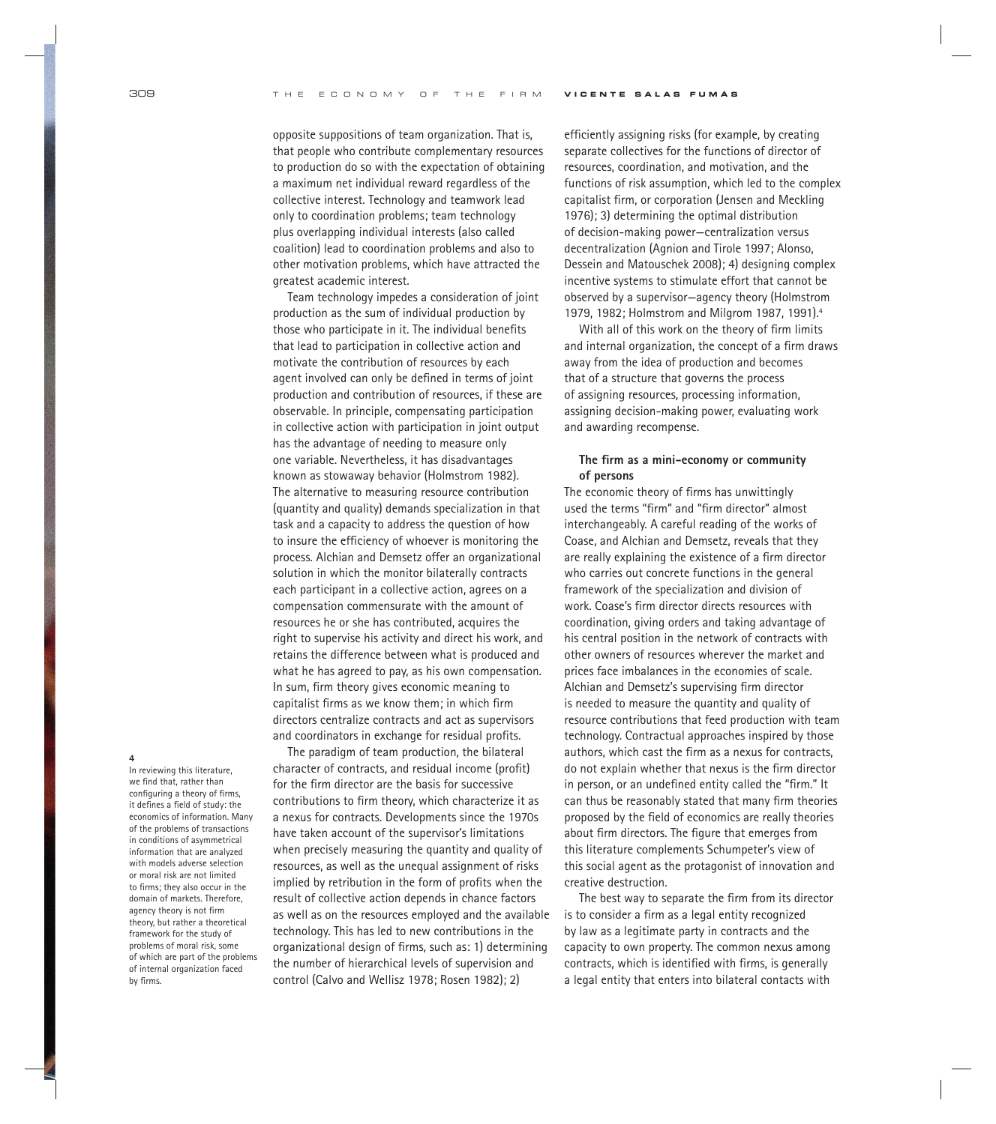opposite suppositions of team organization. That is, that people who contribute complementary resources to production do so with the expectation of obtaining a maximum net individual reward regardless of the collective interest. Technology and teamwork lead only to coordination problems; team technology plus overlapping individual interests (also called coalition) lead to coordination problems and also to other motivation problems, which have attracted the greatest academic interest.

Team technology impedes a consideration of joint production as the sum of individual production by those who participate in it. The individual benefits that lead to participation in collective action and motivate the contribution of resources by each agent involved can only be defined in terms of joint production and contribution of resources, if these are observable. In principle, compensating participation in collective action with participation in joint output has the advantage of needing to measure only one variable. Nevertheless, it has disadvantages known as stowaway behavior (Holmstrom 1982). The alternative to measuring resource contribution (quantity and quality) demands specialization in that task and a capacity to address the question of how to insure the efficiency of whoever is monitoring the process. Alchian and Demsetz offer an organizational solution in which the monitor bilaterally contracts each participant in a collective action, agrees on a compensation commensurate with the amount of resources he or she has contributed, acquires the right to supervise his activity and direct his work, and retains the difference between what is produced and what he has agreed to pay, as his own compensation. In sum, firm theory gives economic meaning to capitalist firms as we know them; in which firm directors centralize contracts and act as supervisors and coordinators in exchange for residual profits.

**4**

In reviewing this literature, we find that, rather than configuring a theory of firms, it defines a field of study: the economics of information. Many of the problems of transactions in conditions of asymmetrical information that are analyzed with models adverse selection or moral risk are not limited to firms: they also occur in the domain of markets. Therefore, agency theory is not firm theory, but rather a theoretical framework for the study of problems of moral risk, some of which are part of the problems of internal organization faced by firms.

The paradigm of team production, the bilateral character of contracts, and residual income (profit) for the firm director are the basis for successive contributions to firm theory, which characterize it as a nexus for contracts. Developments since the 1970s have taken account of the supervisor's limitations when precisely measuring the quantity and quality of resources, as well as the unequal assignment of risks implied by retribution in the form of profits when the result of collective action depends in chance factors as well as on the resources employed and the available technology. This has led to new contributions in the organizational design of firms, such as: 1) determining the number of hierarchical levels of supervision and control (Calvo and Wellisz 1978; Rosen 1982); 2)

efficiently assigning risks (for example, by creating separate collectives for the functions of director of resources, coordination, and motivation, and the functions of risk assumption, which led to the complex capitalist firm, or corporation (Jensen and Meckling 1976); 3) determining the optimal distribution of decision-making power—centralization versus decentralization (Agnion and Tirole 1997; Alonso, Dessein and Matouschek 2008); 4) designing complex incentive systems to stimulate effort that cannot be observed by a supervisor—agency theory (Holmstrom 1979, 1982; Holmstrom and Milgrom 1987, 1991).4

With all of this work on the theory of firm limits and internal organization, the concept of a firm draws away from the idea of production and becomes that of a structure that governs the process of assigning resources, processing information, assigning decision-making power, evaluating work and awarding recompense.

## The firm as a mini-economy or community **of persons**

The economic theory of firms has unwittingly used the terms "firm" and "firm director" almost interchangeably. A careful reading of the works of Coase, and Alchian and Demsetz, reveals that they are really explaining the existence of a firm director who carries out concrete functions in the general framework of the specialization and division of work. Coase's firm director directs resources with coordination, giving orders and taking advantage of his central position in the network of contracts with other owners of resources wherever the market and prices face imbalances in the economies of scale. Alchian and Demsetz's supervising firm director is needed to measure the quantity and quality of resource contributions that feed production with team technology. Contractual approaches inspired by those authors, which cast the firm as a nexus for contracts, do not explain whether that nexus is the firm director in person, or an undefined entity called the "firm." It can thus be reasonably stated that many firm theories proposed by the field of economics are really theories about firm directors. The figure that emerges from this literature complements Schumpeter's view of this social agent as the protagonist of innovation and creative destruction.

The best way to separate the firm from its director is to consider a firm as a legal entity recognized by law as a legitimate party in contracts and the capacity to own property. The common nexus among contracts, which is identified with firms, is generally a legal entity that enters into bilateral contacts with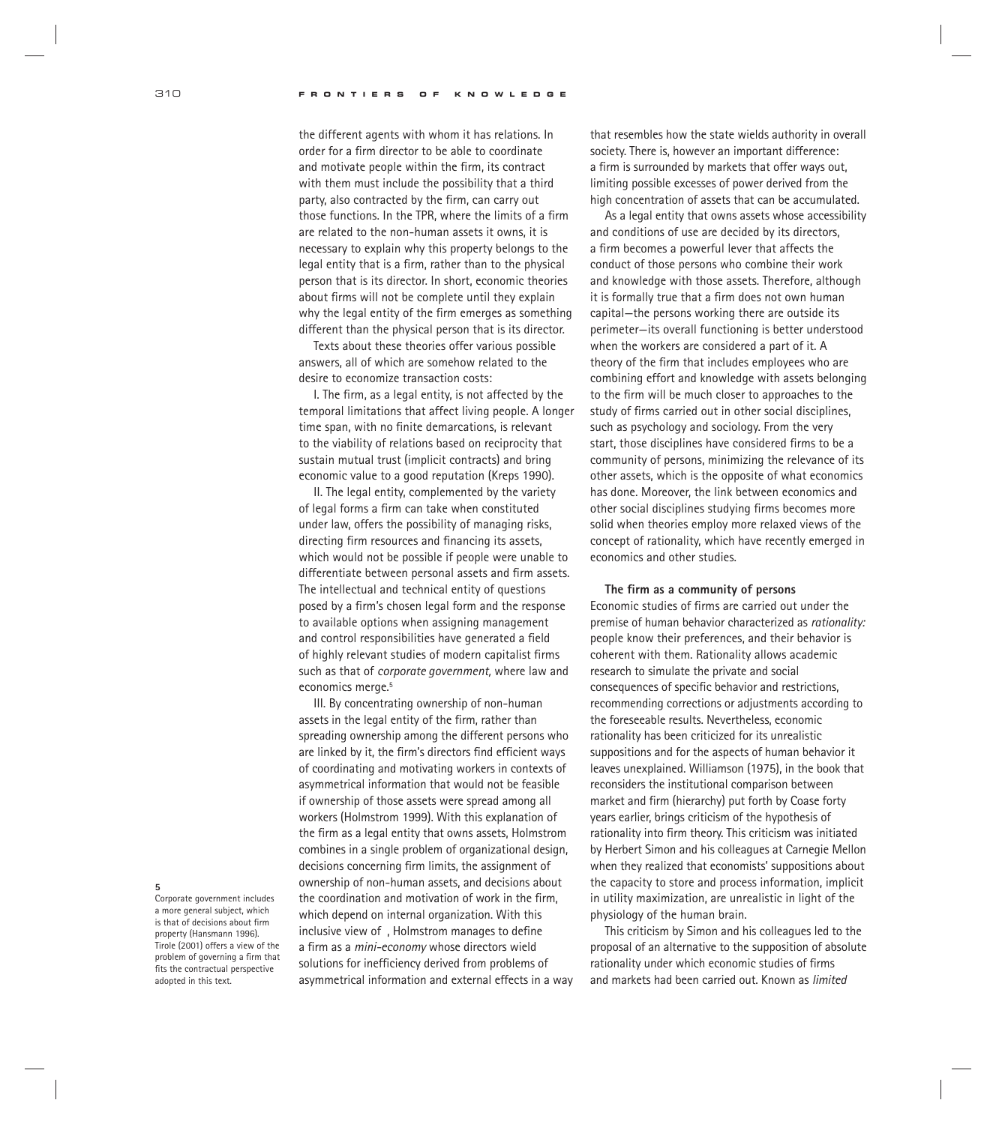310 **FRONTIERS OF KNOWLEDGE**

the different agents with whom it has relations. In order for a firm director to be able to coordinate and motivate people within the firm, its contract with them must include the possibility that a third party, also contracted by the firm, can carry out those functions. In the TPR, where the limits of a firm are related to the non-human assets it owns, it is necessary to explain why this property belongs to the legal entity that is a firm, rather than to the physical person that is its director. In short, economic theories about firms will not be complete until they explain why the legal entity of the firm emerges as something different than the physical person that is its director.

Texts about these theories offer various possible answers, all of which are somehow related to the desire to economize transaction costs:

I. The firm, as a legal entity, is not affected by the temporal limitations that affect living people. A longer time span, with no finite demarcations, is relevant to the viability of relations based on reciprocity that sustain mutual trust (implicit contracts) and bring economic value to a good reputation (Kreps 1990).

II. The legal entity, complemented by the variety of legal forms a firm can take when constituted under law, offers the possibility of managing risks, directing firm resources and financing its assets, which would not be possible if people were unable to differentiate between personal assets and firm assets. The intellectual and technical entity of questions posed by a firm's chosen legal form and the response to available options when assigning management and control responsibilities have generated a field of highly relevant studies of modern capitalist firms such as that of *corporate government,* where law and economics merge.<sup>5</sup>

III. By concentrating ownership of non-human assets in the legal entity of the firm, rather than spreading ownership among the different persons who are linked by it, the firm's directors find efficient ways of coordinating and motivating workers in contexts of asymmetrical information that would not be feasible if ownership of those assets were spread among all workers (Holmstrom 1999). With this explanation of the firm as a legal entity that owns assets, Holmstrom combines in a single problem of organizational design, decisions concerning firm limits, the assignment of ownership of non-human assets, and decisions about the coordination and motivation of work in the firm, which depend on internal organization. With this inclusive view of, Holmstrom manages to define a firm as a *mini-economy* whose directors wield solutions for inefficiency derived from problems of asymmetrical information and external effects in a way that resembles how the state wields authority in overall society. There is, however an important difference: a firm is surrounded by markets that offer ways out, limiting possible excesses of power derived from the high concentration of assets that can be accumulated.

As a legal entity that owns assets whose accessibility and conditions of use are decided by its directors, a firm becomes a powerful lever that affects the conduct of those persons who combine their work and knowledge with those assets. Therefore, although it is formally true that a firm does not own human capital—the persons working there are outside its perimeter—its overall functioning is better understood when the workers are considered a part of it. A theory of the firm that includes employees who are combining effort and knowledge with assets belonging to the firm will be much closer to approaches to the study of firms carried out in other social disciplines, such as psychology and sociology. From the very start, those disciplines have considered firms to be a community of persons, minimizing the relevance of its other assets, which is the opposite of what economics has done. Moreover, the link between economics and other social disciplines studying firms becomes more solid when theories employ more relaxed views of the concept of rationality, which have recently emerged in economics and other studies.

## The firm as a community of persons

Economic studies of firms are carried out under the premise of human behavior characterized as *rationality:* people know their preferences, and their behavior is coherent with them. Rationality allows academic research to simulate the private and social consequences of specific behavior and restrictions, recommending corrections or adjustments according to the foreseeable results. Nevertheless, economic rationality has been criticized for its unrealistic suppositions and for the aspects of human behavior it leaves unexplained. Williamson (1975), in the book that reconsiders the institutional comparison between market and firm (hierarchy) put forth by Coase forty years earlier, brings criticism of the hypothesis of rationality into firm theory. This criticism was initiated by Herbert Simon and his colleagues at Carnegie Mellon when they realized that economists' suppositions about the capacity to store and process information, implicit in utility maximization, are unrealistic in light of the physiology of the human brain.

This criticism by Simon and his colleagues led to the proposal of an alternative to the supposition of absolute rationality under which economic studies of firms and markets had been carried out. Known as *limited* 

#### **5**

Corporate government includes a more general subject, which is that of decisions about firm property (Hansmann 1996). Tirole (2001) offers a view of the problem of governing a firm that fits the contractual perspective adopted in this text.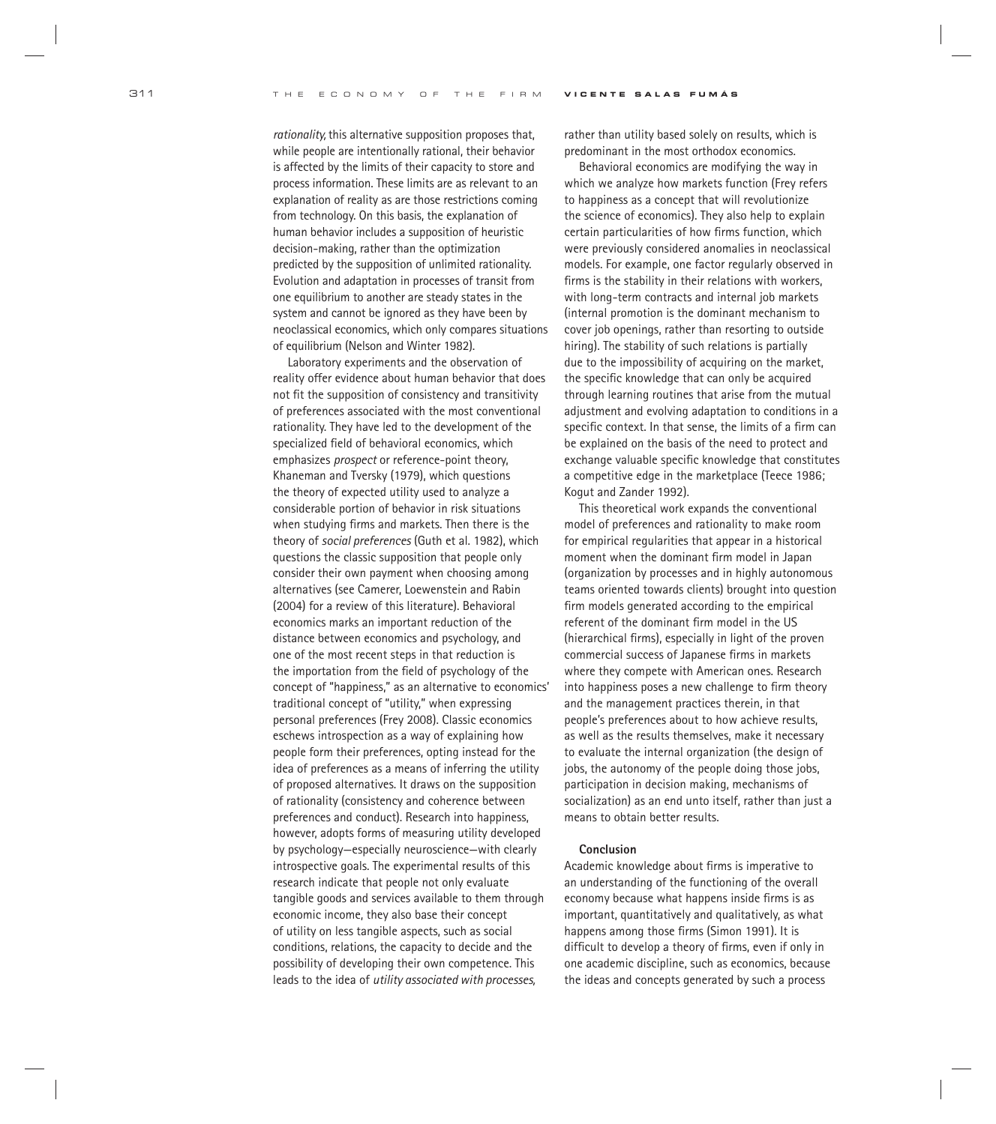*rationality,* this alternative supposition proposes that, while people are intentionally rational, their behavior is affected by the limits of their capacity to store and process information. These limits are as relevant to an explanation of reality as are those restrictions coming from technology. On this basis, the explanation of human behavior includes a supposition of heuristic decision-making, rather than the optimization predicted by the supposition of unlimited rationality. Evolution and adaptation in processes of transit from one equilibrium to another are steady states in the system and cannot be ignored as they have been by neoclassical economics, which only compares situations of equilibrium (Nelson and Winter 1982).

Laboratory experiments and the observation of reality offer evidence about human behavior that does not fit the supposition of consistency and transitivity of preferences associated with the most conventional rationality. They have led to the development of the specialized field of behavioral economics, which emphasizes *prospect* or reference-point theory, Khaneman and Tversky (1979), which questions the theory of expected utility used to analyze a considerable portion of behavior in risk situations when studying firms and markets. Then there is the theory of *social preferences* (Guth et al. 1982), which questions the classic supposition that people only consider their own payment when choosing among alternatives (see Camerer, Loewenstein and Rabin (2004) for a review of this literature). Behavioral economics marks an important reduction of the distance between economics and psychology, and one of the most recent steps in that reduction is the importation from the field of psychology of the concept of "happiness," as an alternative to economics' traditional concept of "utility," when expressing personal preferences (Frey 2008). Classic economics eschews introspection as a way of explaining how people form their preferences, opting instead for the idea of preferences as a means of inferring the utility of proposed alternatives. It draws on the supposition of rationality (consistency and coherence between preferences and conduct). Research into happiness, however, adopts forms of measuring utility developed by psychology—especially neuroscience—with clearly introspective goals. The experimental results of this research indicate that people not only evaluate tangible goods and services available to them through economic income, they also base their concept of utility on less tangible aspects, such as social conditions, relations, the capacity to decide and the possibility of developing their own competence. This leads to the idea of *utility associated with processes,*

rather than utility based solely on results, which is predominant in the most orthodox economics.

Behavioral economics are modifying the way in which we analyze how markets function (Frey refers to happiness as a concept that will revolutionize the science of economics). They also help to explain certain particularities of how firms function, which were previously considered anomalies in neoclassical models. For example, one factor regularly observed in firms is the stability in their relations with workers, with long-term contracts and internal job markets (internal promotion is the dominant mechanism to cover job openings, rather than resorting to outside hiring). The stability of such relations is partially due to the impossibility of acquiring on the market, the specific knowledge that can only be acquired through learning routines that arise from the mutual adjustment and evolving adaptation to conditions in a specific context. In that sense, the limits of a firm can be explained on the basis of the need to protect and exchange valuable specific knowledge that constitutes a competitive edge in the marketplace (Teece 1986; Kogut and Zander 1992).

This theoretical work expands the conventional model of preferences and rationality to make room for empirical regularities that appear in a historical moment when the dominant firm model in Japan (organization by processes and in highly autonomous teams oriented towards clients) brought into question firm models generated according to the empirical referent of the dominant firm model in the US (hierarchical firms), especially in light of the proven commercial success of Japanese firms in markets where they compete with American ones. Research into happiness poses a new challenge to firm theory and the management practices therein, in that people's preferences about to how achieve results, as well as the results themselves, make it necessary to evaluate the internal organization (the design of jobs, the autonomy of the people doing those jobs, participation in decision making, mechanisms of socialization) as an end unto itself, rather than just a means to obtain better results.

### **Conclusion**

Academic knowledge about firms is imperative to an understanding of the functioning of the overall economy because what happens inside firms is as important, quantitatively and qualitatively, as what happens among those firms (Simon 1991). It is difficult to develop a theory of firms, even if only in one academic discipline, such as economics, because the ideas and concepts generated by such a process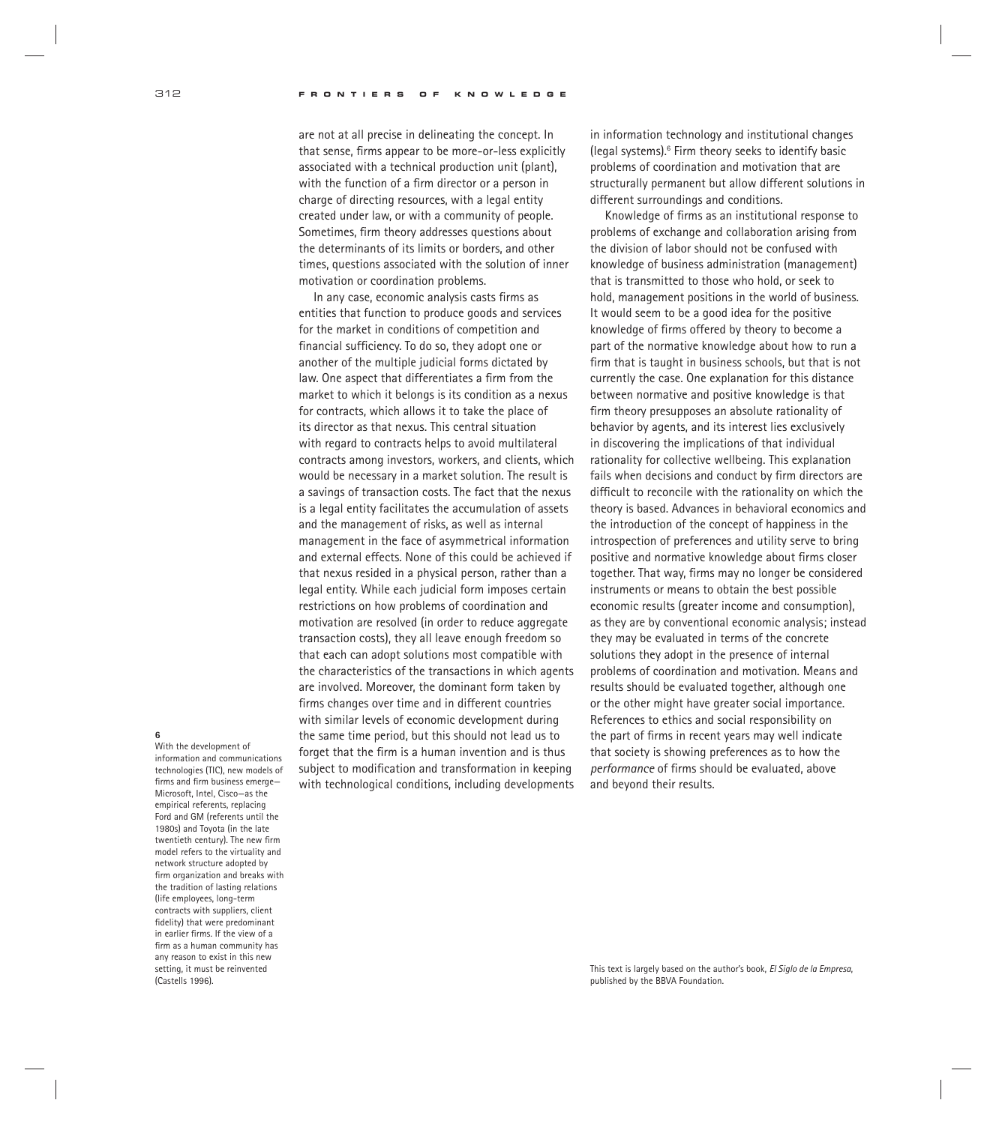are not at all precise in delineating the concept. In that sense, firms appear to be more-or-less explicitly associated with a technical production unit (plant), with the function of a firm director or a person in charge of directing resources, with a legal entity created under law, or with a community of people. Sometimes, firm theory addresses questions about the determinants of its limits or borders, and other times, questions associated with the solution of inner motivation or coordination problems.

In any case, economic analysis casts firms as entities that function to produce goods and services for the market in conditions of competition and financial sufficiency. To do so, they adopt one or another of the multiple judicial forms dictated by law. One aspect that differentiates a firm from the market to which it belongs is its condition as a nexus for contracts, which allows it to take the place of its director as that nexus. This central situation with regard to contracts helps to avoid multilateral contracts among investors, workers, and clients, which would be necessary in a market solution. The result is a savings of transaction costs. The fact that the nexus is a legal entity facilitates the accumulation of assets and the management of risks, as well as internal management in the face of asymmetrical information and external effects. None of this could be achieved if that nexus resided in a physical person, rather than a legal entity. While each judicial form imposes certain restrictions on how problems of coordination and motivation are resolved (in order to reduce aggregate transaction costs), they all leave enough freedom so that each can adopt solutions most compatible with the characteristics of the transactions in which agents are involved. Moreover, the dominant form taken by firms changes over time and in different countries with similar levels of economic development during the same time period, but this should not lead us to forget that the firm is a human invention and is thus subject to modification and transformation in keeping with technological conditions, including developments in information technology and institutional changes (legal systems).6 Firm theory seeks to identify basic problems of coordination and motivation that are structurally permanent but allow different solutions in different surroundings and conditions.

Knowledge of firms as an institutional response to problems of exchange and collaboration arising from the division of labor should not be confused with knowledge of business administration (management) that is transmitted to those who hold, or seek to hold, management positions in the world of business. It would seem to be a good idea for the positive knowledge of firms offered by theory to become a part of the normative knowledge about how to run a firm that is taught in business schools, but that is not currently the case. One explanation for this distance between normative and positive knowledge is that firm theory presupposes an absolute rationality of behavior by agents, and its interest lies exclusively in discovering the implications of that individual rationality for collective wellbeing. This explanation fails when decisions and conduct by firm directors are difficult to reconcile with the rationality on which the theory is based. Advances in behavioral economics and the introduction of the concept of happiness in the introspection of preferences and utility serve to bring positive and normative knowledge about firms closer together. That way, firms may no longer be considered instruments or means to obtain the best possible economic results (greater income and consumption), as they are by conventional economic analysis; instead they may be evaluated in terms of the concrete solutions they adopt in the presence of internal problems of coordination and motivation. Means and results should be evaluated together, although one or the other might have greater social importance. References to ethics and social responsibility on the part of firms in recent years may well indicate that society is showing preferences as to how the *performance* of firms should be evaluated, above and beyond their results.

## **6**

With the development of information and communications technologies (TIC), new models of firms and firm business emerge-Microsoft, Intel, Cisco—as the empirical referents, replacing Ford and GM (referents until the 1980s) and Toyota (in the late twentieth century). The new firm model refers to the virtuality and network structure adopted by firm organization and breaks with the tradition of lasting relations (life employees, long-term contracts with suppliers, client fidelity) that were predominant in earlier firms. If the view of a firm as a human community has any reason to exist in this new setting, it must be reinvented (Castells 1996).

This text is largely based on the author's book, *El Siglo de la Empresa*, published by the BBVA Foundation.